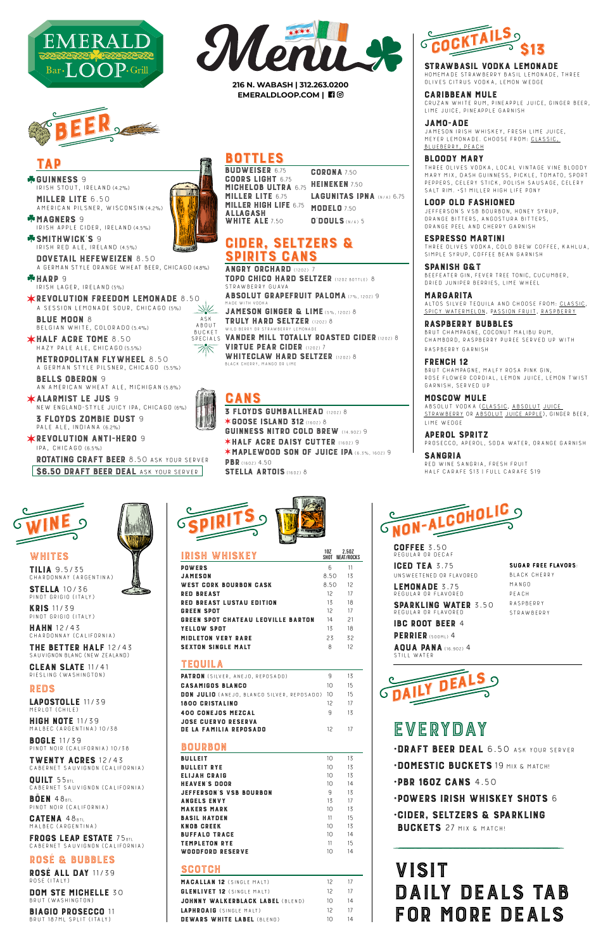COFFEE 3.50 Regular or decaf

**iged tea** 3.75<br>Insweetened op ei Unsweetened or flavored

SPARKLING WATER 3.50 Regular or flavored

IBC ROOT BEER 4 PERRIER (500ML) 4

LEMONADE 3.75 Regular or flavored

AQUA PANA (16.9OZ) 4 Still water

TILIA 9.5/35 Chardonnay (Argentina)

MERLOT (CHILE)<br>**HIGH NOTE** 11/39 HIGH NOTE 11/39 Malbec (Argentina) 10/38

STELLA 10/36 Pinot Grigio (Italy)

KRIS 11/39 Pinot Grigio (Italy)

HAHN 12/43 Chardonnay (California)

**THE BETTER HALF** T2743<br>SAUVIGNON BLANC (NEW ZEALAND)

CLEAN SLATE 11/41 Riesling (Washington)



BOGLE 11/39 Pinot Noir (California) 10/38

TWENTY ACRES 12/43 Cabernet Sauvignon (California)

QUILT 55BTL Cabernet Sauvignon (California)

BÖEN 48BTL Pinot Noir (California)

CATENA 48BTL Malbec (Argentina)

FRUGS LEAP ESIAIE / 5BTL<br>Cabernet Sauvignon (California)

ROSÉ & BUBBLES

**ROSE ALL DAY 11/39** ROSÉ (ITALY)<br>DOM STE MICHELLE 30

DOM STE MICHELLE 30 Brut (Washington)

BIAGIO PROSECCO 11 Brut 187ml split (Italy)

•DOMESTIC BUCKETS 19 MIX & MATCH!

•PBR 16OZ CANS 4.50



Black Cherry Mango Peach **RASPBERRY STRAWBERRY** 



LAPOSTOLLE 11/39

•POWERS IRISH WHISKEY SHOTS 6 •CIDER, SELTZERS & SPARKLING

BUCKETS 27 MIX & MATCH!



WHITES<br>TILIA 9.5/35



SPIRITS GANS TOPO CHICO HARD SELTZER (12OZ BOTTLE) 8 Strawberry Guava

ABSOLUT GRAPEFRUIT PALOMA (7%, 1202) 9



JAMESON GINGER & LIME (5%, 120Z) 8 TRULY HARD SELTZER (12OZ) 8 WILD BERRY OR STRAWBERRY LEMONADE

VANDER MILL TOTALLY ROASTED CIDER (1202) 8 VIRTUE PEAR CIDER (120Z) 7 BUUNEI<br>SPECIAIS  $SPEUIALS$ 

WHITECLAW HARD SELTZER (1202) 8<br>BLACK CHERRY, MANGO OR LIME

ASK<br>ABOUT BUCKET

> **GANS**<br>**3 FLOYDS GUMBALLHEAD** (1202) 8 ✶GOOSE ISLAND 312 (16OZ) 8 GUINNESS NITRO COLD BREW (14.90Z) 9 ✶HALF ACRE DAISY CUTTER (16OZ) 9 **\*MAPLEWOOD SON OF JUICE IPA (6.3%, 1602) 9**<br>PBR (1602) 4.50 PBR (160Z) 4.50<br>**CTELLA ADT** SIELLA ARIUIS (160Z) 8

| <b>PATRON</b> (SILVER, ANEJO, REPOSADO)<br><b>CASAMIGOS BLANCO</b> | 9               | 13 |
|--------------------------------------------------------------------|-----------------|----|
|                                                                    |                 |    |
|                                                                    | 10              | 15 |
| <b>DON JULIO</b> (ANEJO, BLANCO SILVER, REPOSADO)                  | 10              | 15 |
| 1800 CRISTALINO                                                    | $12^{1}$        | 17 |
| <b>400 CONEJOS MEZCAL</b>                                          | 9               | 13 |
| <b>JOSE CUERVO RESERVA</b><br><b>DE LA FAMILIA REPOSADO</b>        | 12              | 17 |
| BOURBON                                                            |                 |    |
| <b>BULLEIT</b>                                                     | 10 <sup>2</sup> | 13 |
| <b>BULLEIT RYE</b>                                                 | 10              | 13 |
| <b>ELIJAH CRAIG</b>                                                | 10 <sup>2</sup> | 13 |
| <b>HEAVEN'S DOOR</b>                                               | 10 <sup>2</sup> | 14 |
| JEFFERSON'S VSB BOURBON                                            | 9               | 13 |
| <b>ANGELS ENVY</b>                                                 | 13              | 17 |
| <b>MAKERS MARK</b>                                                 | 10 <sup>2</sup> | 13 |
| <b>BASIL HAYDEN</b>                                                | 11              | 15 |
| <b>KNOB CREEK</b>                                                  | 10 <sup>2</sup> | 13 |
| <b>BUFFALO TRACE</b>                                               | 10 <sup>2</sup> | 14 |
| <b>TEMPLETON RYE</b>                                               | 11              | 15 |
| WOODFORD RESERVE                                                   | 10              | 14 |



## STRAWBASIL VODKA LEMONADE

**GUINNESS 9** GUINNESS 9<br>Irish stout. Ii Irish stout, Ireland (4.2%)

MAGNERS 9<br>Irish apple c Irish apple cider, Ireland (4.5%)

SMITHWIGKS 9<br>Irish red ale. Irei Irish red ale, Ireland (4.5%)

**DOVETAIL HEFEWEIZEN** 8.50<br>A German style orange wheat bee

Irish lager, Ireland (5%) REVOLUTION FREEDOM LEMONADE 8.50 A SESSION LEMONADE SOUR, CHICAGO (5%)<br>**BLUE MOON** 8

BLUE MUUN 8<br>Belgian white. BELGIAN WHITE, CULURADU (5.4%)

| SCOTCH                            |          |      |
|-----------------------------------|----------|------|
| <b>MACALLAN 12 (SINGLE MALT)</b>  | 12.      | - 17 |
| <b>GLENLIVET 12 (SINGLE MALT)</b> | 12       | 17   |
| JOHNNY WALKERBLACK LABEL (BLEND)  | $1 \cap$ | 14   |
| <b>LAPHROAIG</b> (SINGLE MALT)    | 12       | 17   |
| <b>DEWARS WHITE LABEL (BLEND)</b> | 10       | 14   |

**•DRAFT BEER DEAL** 6.50 ASK YOUR SERV

**HALF AGRE IUME** 8.50<br>Hazy pale ale.chicago(5. hazy pale ale, Chicago (5.5%)

METRUPULITAN FLYWHEEL 8.50<br>A German style pilsner. Chicago (5 A German style pilsner, Chicago (5.5%)

**BELLS UBERUN** 9<br>An American Whea An American Wheat Ale, Michigan (5.8%)

ALARMISI LE JUS 9<br>New England-style jun New England-Style Juicy IPA, Chicago (6%)

| IRISH WHISKEY                             | 10Z<br>SHOT | 2.50Z<br>NEAT/ROCKS |
|-------------------------------------------|-------------|---------------------|
| <b>POWERS</b>                             | հ           | 11                  |
| JAMESON                                   | 8.50        | 13                  |
| WEST CORK BOURBON CASK                    | 8.50        | 12                  |
| <b>RED BREAST</b>                         | 12          | 17                  |
| <b>RED BREAST LUSTAU EDITION</b>          | 13          | 18                  |
| <b>GREEN SPOT</b>                         | 12          | 17                  |
| <b>GREEN SPOT CHATEAU LEOVILLE BARTON</b> | 14          | 21                  |
| YELLOW SPOT                               | 13          | 18                  |
| <b>MIDLETON VERY RARE</b>                 | 23          | 32                  |
| <b>SEXTON SINGLE MALT</b>                 | 8           | 12                  |
| TEOUILA                                   |             |                     |

SI**RAWBASIL VUUNA LEMUNAUE**<br>Homemade strawberry basil lemonade, Three<br>Quives strus vorka lemon werge Olives Citrus Vodka, Lemon Wedge

BLOODY MARY Three Olives vodka, local Vintage Vine Bloody Mary Mix, dash Guinness, pickle, tomato, sport peppers, celery stick, polish sausage, celery SALT RIM. + \$1 MILLER HIGH LIFE PONY

LOOP OLD FASHIONED<br>JEFFERSON'S VSB BOURBON, HONEY SYRUP, ORANGE BITTERS, ANGOSTURA BITTERS, ORANGE PEEL AND CHERRY GARNISH<br>ESPRESSO MARTINI

## Sugar free flavors:

SPANISH G& I<br>Beefeater gin, Fever Tree Tonic, cucumber,<br>Baler, Unurer Bernies, Lime Wueel dried juniper berries, lime wheel

**MARGARITA**<br>ALTOS SILVER TEQUILA AND CHOOSE FROM: <u>CLASSIC,</u> SPICY WATERMELON, PASSION FRUIT, RASPBERRY

RASPBERRY BUBBLES<br>BRUT CHAMPAGNE, COCONUT MALIBU RUM,

CHAMBORD, RASPBERRY PUREE SERVED UP WITH raspberry garnish

FRENGH 12<br>Brut Champagne, Malfy Rosa Pink Gin,<br>Bose Elower Condial, Lemon, Ulice, Lem rose flower cordial, lemon juice, lemon twist garnish, Served up

SANGRIA<br>Red wine sangria, fresh fruit<br>HALE CARAEE \$17 LEULL CARAEE : Half Carafe \$13 | Full Carafe \$19

# VISIT<br>DAILY DEALS TAB DAILY DEALS TAB FOR MORE DEALS



**216 N. WABASH | 312.263.0200 EMERALDLOOP.COM |** 

MILLER LITE 6.50 American pilsner, Wisconsin (4.2%)

a German style orange wheat beer, CHICAGO (4.8%) HARP 9

3 FLOYDS ZOMBIE DUST 9 Pale Ale, Indiana (6.2%)

REVOLUTION ANTI-HERO 9 IPA, Chicago (6.5%)

ROTATING CRAFT BEER 8.50 ASK YOUR SERVER **\$6.50 DRAFT BEER DEAL ASK YOUR SERVER** 

CARIBBEAN MULE Cruzan white rum, pineapple juice, ginger beer, lime juice, pineapple garnish

| <b>BUDWEISER 6.75</b>        | <b>CORONA</b> 7.50               |
|------------------------------|----------------------------------|
| <b>COORS LIGHT 6.75</b>      | <b>HEINEKEN</b> 7.50             |
| MICHELOB ULTRA 6.75          |                                  |
| <b>MILLER LITE 6.75</b>      | <b>LAGUNITAS IPNA (N/A) 6.75</b> |
| <b>MILLER HIGH LIFE 6.75</b> | <b>MODELO 7.50</b>               |
| <b>ALLAGASH</b>              |                                  |
| <b>WHITE ALE 7.50</b>        | $0$ DOULS $(N/A)$ 5              |
|                              |                                  |

# **CIDER, SELTZERS &<br>SPIRITS CANS**

JAMO-ADE Jameson Irish Whiskey, fresh lime juice, Meyer lemonade. choose from: Classic, Blueberry, Peach

ESPRESSO MARTINI Three olives vodka, cold brew coffee, kahlua, simple syrup, coffee bean garnish

MOSCOW MULE Absolut vodka (Classic, Absolut Juice Strawberry or Absolut Juice Apple), ginger beer, lime wedge

APEROL SPRITZ Prosecco, Aperol, soda water, orange garnish